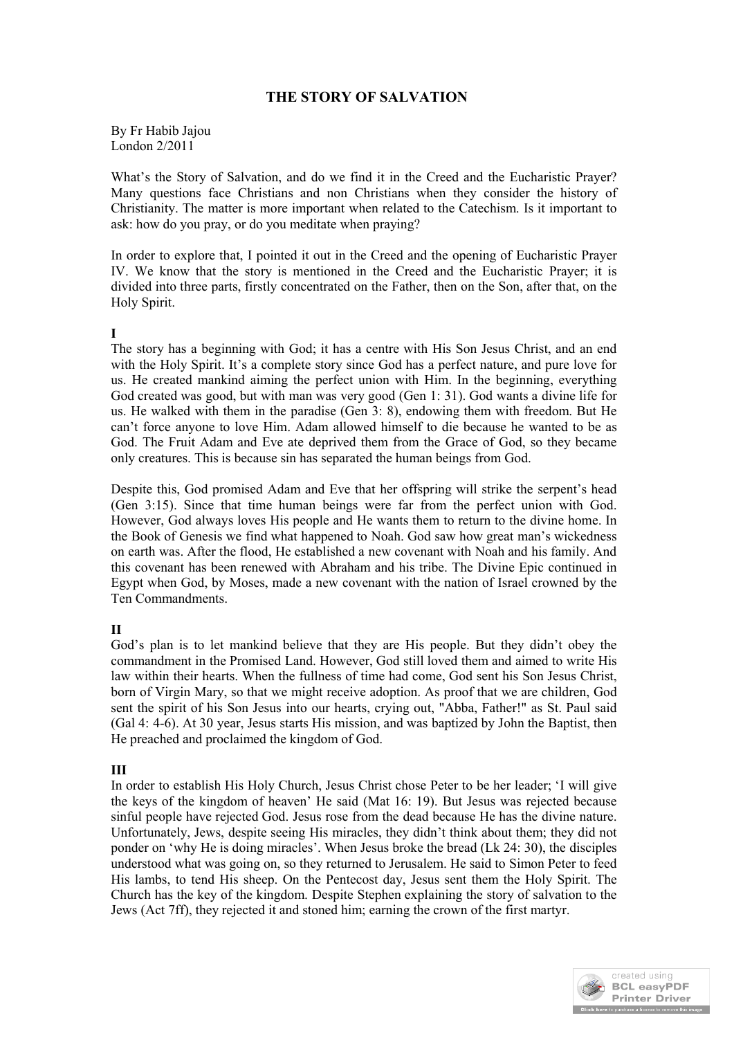## **THE STORY OF SALVATION**

By Fr Habib Jajou London 2/2011

What's the Story of Salvation, and do we find it in the Creed and the Eucharistic Prayer? Many questions face Christians and non Christians when they consider the history of Christianity. The matter is more important when related to the Catechism. Is it important to ask: how do you pray, or do you meditate when praying?

In order to explore that, I pointed it out in the Creed and the opening of Eucharistic Prayer IV. We know that the story is mentioned in the Creed and the Eucharistic Prayer; it is divided into three parts, firstly concentrated on the Father, then on the Son, after that, on the Holy Spirit.

## **I**

The story has a beginning with God; it has a centre with His Son Jesus Christ, and an end with the Holy Spirit. It's a complete story since God has a perfect nature, and pure love for us. He created mankind aiming the perfect union with Him. In the beginning, everything God created was good, but with man was very good (Gen 1: 31). God wants a divine life for us. He walked with them in the paradise (Gen 3: 8), endowing them with freedom. But He can't force anyone to love Him. Adam allowed himself to die because he wanted to be as God. The Fruit Adam and Eve ate deprived them from the Grace of God, so they became only creatures. This is because sin has separated the human beings from God.

Despite this, God promised Adam and Eve that her offspring will strike the serpent's head (Gen 3:15). Since that time human beings were far from the perfect union with God. However, God always loves His people and He wants them to return to the divine home. In the Book of Genesis we find what happened to Noah. God saw how great man's wickedness on earth was. After the flood, He established a new covenant with Noah and his family. And this covenant has been renewed with Abraham and his tribe. The Divine Epic continued in Egypt when God, by Moses, made a new covenant with the nation of Israel crowned by the Ten Commandments.

## **II**

God's plan is to let mankind believe that they are His people. But they didn't obey the commandment in the Promised Land. However, God still loved them and aimed to write His law within their hearts. When the fullness of time had come, God sent his Son Jesus Christ, born of Virgin Mary, so that we might receive adoption. As proof that we are children, God sent the spirit of his Son Jesus into our hearts, crying out, "Abba, Father!" as St. Paul said (Gal 4: 4-6). At 30 year, Jesus starts His mission, and was baptized by John the Baptist, then He preached and proclaimed the kingdom of God.

## **III**

In order to establish His Holy Church, Jesus Christ chose Peter to be her leader; 'I will give the keys of the kingdom of heaven' He said (Mat 16: 19). But Jesus was rejected because sinful people have rejected God. Jesus rose from the dead because He has the divine nature. Unfortunately, Jews, despite seeing His miracles, they didn't think about them; they did not ponder on 'why He is doing miracles'. When Jesus broke the bread (Lk 24: 30), the disciples understood what was going on, so they returned to Jerusalem. He said to Simon Peter to feed His lambs, to tend His sheep. On the Pentecost day, Jesus sent them the Holy Spirit. The Church has the key of the kingdom. Despite Stephen explaining the story of salvation to the Jews (Act 7ff), they rejected it and stoned him; earning the crown of the first martyr.